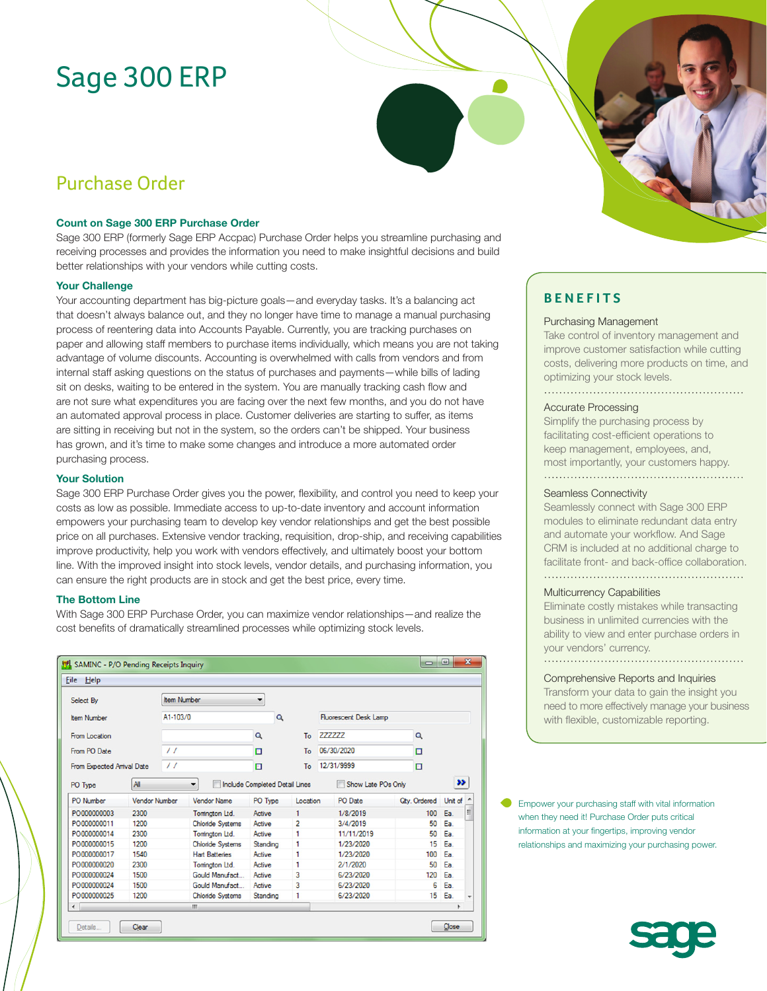# Sage 300 ERP

## Purchase Order

### **Count on Sage 300 ERP Purchase Order**

Sage 300 ERP (formerly Sage ERP Accpac) Purchase Order helps you streamline purchasing and receiving processes and provides the information you need to make insightful decisions and build better relationships with your vendors while cutting costs.

### **Your Challenge**

Your accounting department has big-picture goals—and everyday tasks. It's a balancing act that doesn't always balance out, and they no longer have time to manage a manual purchasing process of reentering data into Accounts Payable. Currently, you are tracking purchases on paper and allowing staff members to purchase items individually, which means you are not taking advantage of volume discounts. Accounting is overwhelmed with calls from vendors and from internal staff asking questions on the status of purchases and payments—while bills of lading sit on desks, waiting to be entered in the system. You are manually tracking cash flow and are not sure what expenditures you are facing over the next few months, and you do not have an automated approval process in place. Customer deliveries are starting to suffer, as items are sitting in receiving but not in the system, so the orders can't be shipped. Your business has grown, and it's time to make some changes and introduce a more automated order purchasing process.

#### **Your Solution**

Sage 300 ERP Purchase Order gives you the power, flexibility, and control you need to keep your costs as low as possible. Immediate access to up-to-date inventory and account information empowers your purchasing team to develop key vendor relationships and get the best possible price on all purchases. Extensive vendor tracking, requisition, drop-ship, and receiving capabilities improve productivity, help you work with vendors effectively, and ultimately boost your bottom line. With the improved insight into stock levels, vendor details, and purchasing information, you can ensure the right products are in stock and get the best price, every time.

#### **The Bottom Line**

With Sage 300 ERP Purchase Order, you can maximize vendor relationships—and realize the cost benefits of dramatically streamlined processes while optimizing stock levels.

| Select By                                           |                      | <b>Item Number</b>     |                         | ▼                                     |                |                                    |                         |                     |         |  |
|-----------------------------------------------------|----------------------|------------------------|-------------------------|---------------------------------------|----------------|------------------------------------|-------------------------|---------------------|---------|--|
| <b>Item Number</b><br>From Location<br>From PO Date |                      | A1-103/0<br>$\prime$ / |                         | Q                                     | To<br>To       | <b>Fluorescent Desk Lamp</b>       |                         |                     |         |  |
|                                                     |                      |                        |                         | Q                                     |                | 777777<br>06/30/2020<br>12/31/9999 |                         | Q                   | o       |  |
|                                                     |                      |                        |                         | o                                     |                |                                    |                         |                     |         |  |
| From Expected Arrival Date                          |                      | $\prime$               |                         |                                       | To             |                                    |                         | o                   |         |  |
| PO Type                                             | All                  |                        | ۰                       | <b>Include Completed Detail Lines</b> |                |                                    | Show Late POs Only<br>m |                     | >>      |  |
| PO Number                                           | <b>Vendor Number</b> |                        | <b>Vendor Name</b>      | PO Type                               | Location       |                                    | PO Date                 | <b>Qtv. Ordered</b> | Unit of |  |
| PO000000003                                         | 2300                 |                        | Tomington Ltd.          | Active                                | 1              |                                    | 1/8/2019                | 100                 | Ea.     |  |
| PO000000011                                         | 1200                 |                        | <b>Chloride Systems</b> | Active                                | $\overline{2}$ |                                    | 3/4/2019                | 50                  | Ea.     |  |
| PO000000014                                         | 2300                 |                        | Tomington Ltd.          | Active                                | 1              |                                    | 11/11/2019              | 50                  | Ea.     |  |
| PO000000015                                         | 1200                 |                        | <b>Chloride Systems</b> | Standing                              | 1              |                                    | 1/23/2020               | 15                  | Ea.     |  |
| PO000000017                                         | 1540                 |                        | <b>Hart Batteries</b>   | Active                                | 1              |                                    | 1/23/2020               | 100                 | Ea.     |  |
| PO000000020                                         | 2300                 |                        | Tomington Ltd.          | Active                                | 1              |                                    | 2/1/2020                | 50                  | Ea.     |  |
| PO000000024                                         | 1500                 |                        | Gould Manufact          | Active                                | 3              |                                    | 6/23/2020               | 120                 | Ea.     |  |
| PO000000024                                         | 1500                 |                        | Gould Manufact          | Active                                | 3              |                                    | 6/23/2020               | 6                   | Ea.     |  |
| PO000000025                                         | 1200                 |                        | <b>Chloride Systems</b> | Standing                              | 1              |                                    | 6/23/2020               | 15                  | Ea.     |  |
| $\overline{\phantom{a}}$                            |                      |                        | m.                      |                                       |                |                                    |                         |                     |         |  |

### **BENEFITS**

### Purchasing Management

Take control of inventory management and improve customer satisfaction while cutting costs, delivering more products on time, and optimizing your stock levels.

### Accurate Processing

Simplify the purchasing process by facilitating cost-efficient operations to keep management, employees, and, most importantly, your customers happy. 

#### Seamless Connectivity

Seamlessly connect with Sage 300 ERP modules to eliminate redundant data entry and automate your workflow. And Sage CRM is included at no additional charge to facilitate front- and back-office collaboration. 

#### Multicurrency Capabilities

Eliminate costly mistakes while transacting business in unlimited currencies with the ability to view and enter purchase orders in your vendors' currency. 

Comprehensive Reports and Inquiries

Transform your data to gain the insight you need to more effectively manage your business with flexible, customizable reporting.

Empower your purchasing staff with vital information when they need it! Purchase Order puts critical information at your fingertips, improving vendor relationships and maximizing your purchasing power.